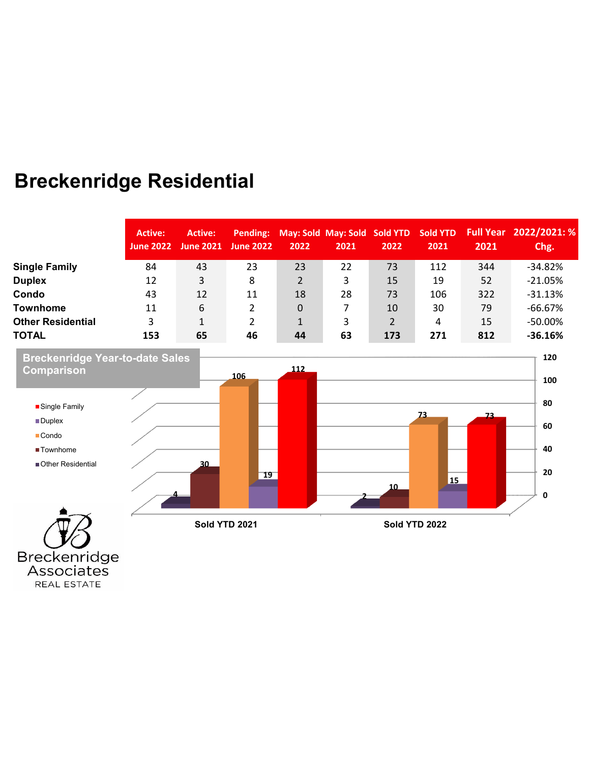## **Breckenridge Residential**

|                          | <b>Active:</b><br><b>June 2022</b> | Active:<br><b>June 2021</b> | <b>June 2022</b> | 2022     | Pending: May: Sold May: Sold Sold YTD Sold YTD<br>2021 | 2022 | 2021 | 2021 | Full Year 2022/2021: %<br>Chg. |
|--------------------------|------------------------------------|-----------------------------|------------------|----------|--------------------------------------------------------|------|------|------|--------------------------------|
| <b>Single Family</b>     | 84                                 | 43                          | 23               | 23       | 22                                                     | 73   | 112  | 344  | $-34.82%$                      |
| <b>Duplex</b>            | 12                                 | 3                           | 8                | 2        | 3                                                      | 15   | 19   | 52   | $-21.05%$                      |
| Condo                    | 43                                 | 12                          | 11               | 18       | 28                                                     | 73   | 106  | 322  | $-31.13%$                      |
| <b>Townhome</b>          | 11                                 | 6                           |                  | $\Omega$ |                                                        | 10   | 30   | 79   | $-66.67%$                      |
| <b>Other Residential</b> | 3                                  |                             |                  |          |                                                        | 2    | 4    | 15   | $-50.00\%$                     |
| <b>TOTAL</b>             | 153                                | 65                          | 46               | 44       | 63                                                     | 173  | 271  | 812  | $-36.16%$                      |



Associates REAL ESTATE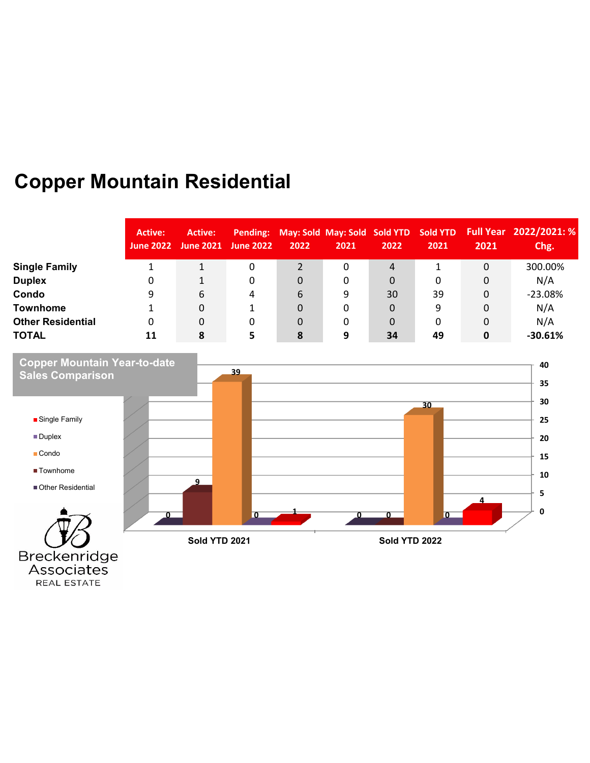## **Copper Mountain Residential**

REAL ESTATE

|                          | <b>Active:</b><br><b>June 2022</b> | Active:<br><b>June 2021</b> | <b>June 2022</b> | Pending: May: Sold May: Sold Sold YTD Sold YTD<br>2022 | 2021 | 2022 | 2021 | 2021 | Full Year 2022/2021: %<br>Chg. |
|--------------------------|------------------------------------|-----------------------------|------------------|--------------------------------------------------------|------|------|------|------|--------------------------------|
| <b>Single Family</b>     |                                    |                             | 0                |                                                        | 0    | 4    |      | 0    | 300.00%                        |
| <b>Duplex</b>            |                                    |                             | 0                | $\overline{0}$                                         | 0    | 0    | 0    | 0    | N/A                            |
| Condo                    | 9                                  | 6                           | 4                | 6                                                      | 9    | 30   | 39   | 0    | $-23.08%$                      |
| <b>Townhome</b>          |                                    | 0                           |                  | $\Omega$                                               | 0    | 0    | 9    | 0    | N/A                            |
| <b>Other Residential</b> | 0                                  | 0                           | 0                | $\Omega$                                               | 0    | 0    | 0    | 0    | N/A                            |
| <b>TOTAL</b>             | 11                                 | 8                           | 5                | 8                                                      | q    | 34   | 49   | 0    | $-30.61%$                      |

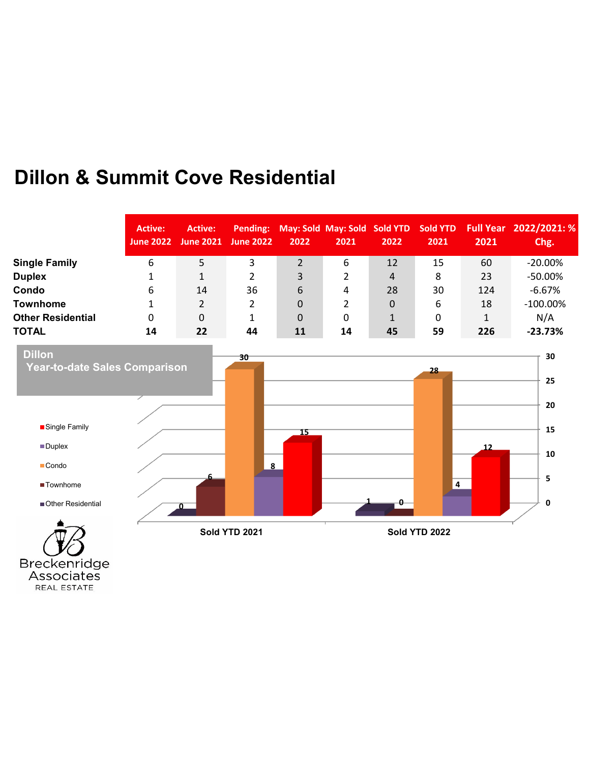### **Dillon & Summit Cove Residential**

|                          | Active:<br><b>June 2022</b> | Active:<br><b>June 2021</b> | <b>June 2022</b> | Pending: May: Sold May: Sold Sold YTD Sold YTD<br>2022 | 2021 | 2022        | 2021 | 2021 | Full Year 2022/2021: %<br>Chg. |
|--------------------------|-----------------------------|-----------------------------|------------------|--------------------------------------------------------|------|-------------|------|------|--------------------------------|
| <b>Single Family</b>     | 6                           | 5.                          | 3                | 2                                                      | 6    | 12          | 15   | 60   | $-20.00\%$                     |
| <b>Duplex</b>            |                             |                             |                  | 3                                                      |      | 4           | 8    | 23   | $-50.00\%$                     |
| Condo                    | 6                           | 14                          | 36               | 6                                                      | 4    | 28          | 30   | 124  | $-6.67\%$                      |
| <b>Townhome</b>          |                             | $\mathbf{2}^{\prime}$       | 2                | $\Omega$                                               |      | 0           | 6    | 18   | $-100.00\%$                    |
| <b>Other Residential</b> | 0                           | 0                           |                  | $\Omega$                                               | 0    | $\mathbf 1$ | 0    |      | N/A                            |
| <b>TOTAL</b>             | 14                          | 22                          | 44               | 11                                                     | 14   | 45          | 59   | 226  | $-23.73%$                      |

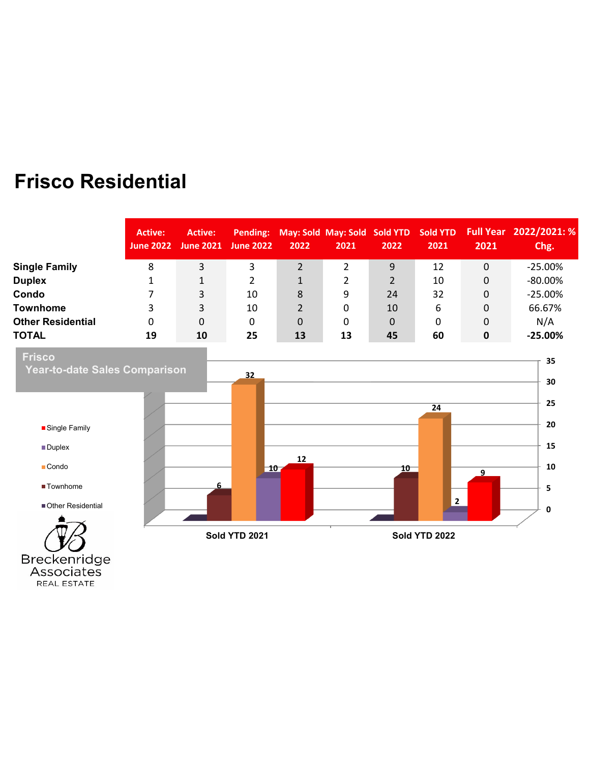### **Frisco Residential**

|                          | <b>Active:</b><br><b>June 2022</b> | Active:<br><b>June 2021</b> | <b>June 2022</b> | Pending: May: Sold May: Sold Sold YTD Sold YTD<br>2022 | 2021 | 2022 | 2021 | 2021 | Full Year 2022/2021: %<br>Chg. |
|--------------------------|------------------------------------|-----------------------------|------------------|--------------------------------------------------------|------|------|------|------|--------------------------------|
| <b>Single Family</b>     | 8                                  | 3                           | 3                |                                                        | 2    | 9    | 12   | 0    | $-25.00\%$                     |
| <b>Duplex</b>            |                                    | 1                           |                  | 1                                                      |      | 2    | 10   | 0    | $-80.00\%$                     |
| Condo                    |                                    | 3                           | 10               | 8                                                      | 9    | 24   | 32   | 0    | $-25.00%$                      |
| <b>Townhome</b>          | 3                                  | 3                           | 10               | $\overline{2}$                                         | 0    | 10   | 6    | 0    | 66.67%                         |
| <b>Other Residential</b> | 0                                  | 0                           | 0                | $\overline{0}$                                         | 0    | 0    | 0    | 0    | N/A                            |
| <b>TOTAL</b>             | 19                                 | 10                          | 25               | 13                                                     | 13   | 45   | 60   | 0    | $-25.00\%$                     |

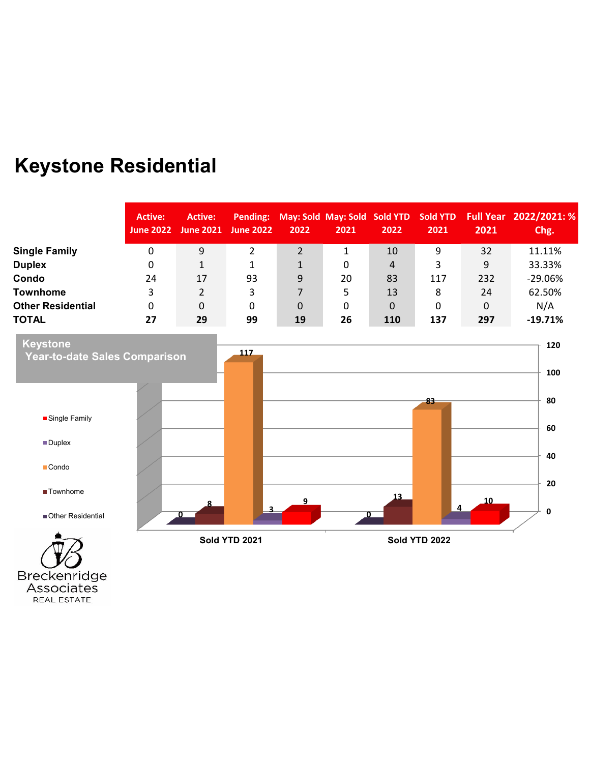# **Keystone Residential**

|                          | <b>Active:</b><br>June 2022 | Active:<br>June 2021 <sup>'</sup> | June 2022 | Pending: May: Sold May: Sold Sold YTD Sold YTD<br>2022 | 2021 | 2022        | 2021 | 2021 | Full Year 2022/2021: %<br>Chg. |
|--------------------------|-----------------------------|-----------------------------------|-----------|--------------------------------------------------------|------|-------------|------|------|--------------------------------|
| <b>Single Family</b>     | 0                           | 9                                 |           |                                                        |      | 10          | 9    | 32   | 11.11%                         |
| <b>Duplex</b>            | 0                           |                                   |           |                                                        | 0    | 4           | 3    | 9    | 33.33%                         |
| Condo                    | 24                          | 17                                | 93        | 9                                                      | 20   | 83          | 117  | 232  | $-29.06%$                      |
| <b>Townhome</b>          | 3                           | 2                                 | 3         |                                                        | 5    | 13          | 8    | 24   | 62.50%                         |
| <b>Other Residential</b> | 0                           | 0                                 | 0         | 0                                                      | 0    | $\mathbf 0$ | 0    | 0    | N/A                            |
| <b>TOTAL</b>             | 27                          | 29                                | 99        | 19                                                     | 26   | 110         | 137  | 297  | $-19.71%$                      |